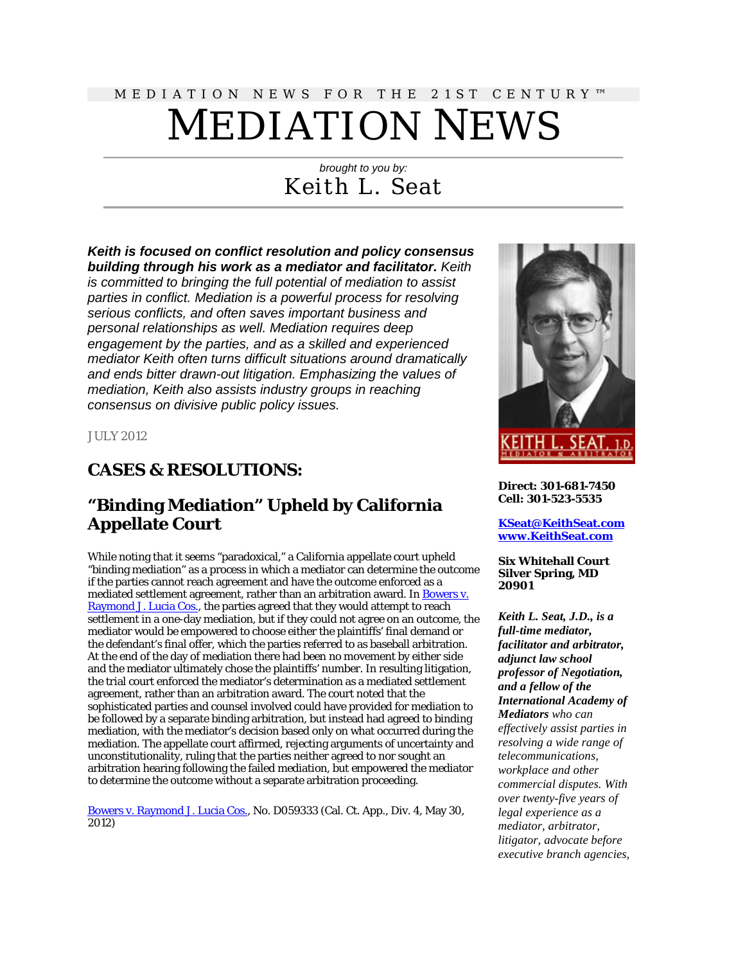# MEDIATION NEWS FOR THE 21ST CENTURY™ MEDIATION NEWS

# *brought to you by:* Keith L. Seat

### *Keith is focused on conflict resolution and policy consensus building through his work as a mediator and facilitator. Keith*

*is committed to bringing the full potential of mediation to assist parties in conflict. Mediation is a powerful process for resolving serious conflicts, and often saves important business and personal relationships as well. Mediation requires deep engagement by the parties, and as a skilled and experienced mediator Keith often turns difficult situations around dramatically and ends bitter drawn-out litigation. Emphasizing the values of mediation, Keith also assists industry groups in reaching consensus on divisive public policy issues.*

JULY 2012

# **CASES & RESOLUTIONS:**

# **"Binding Mediation" Upheld by California Appellate Court**

While noting that it seems "paradoxical," a California appellate court upheld "binding mediation" as a process in which a mediator can determine the outcome if the parties cannot reach agreement and have the outcome enforced as a mediated settlement agreement, rather than an arbitration award. In [Bowers v.](http://scholar.google.com/scholar_case?case=16808989464048303480&hl=en&lr=lang_en&as_sdt=2,9&as_vis=1&oi=scholaralrt)  [Raymond J. Lucia Cos.,](http://scholar.google.com/scholar_case?case=16808989464048303480&hl=en&lr=lang_en&as_sdt=2,9&as_vis=1&oi=scholaralrt) the parties agreed that they would attempt to reach settlement in a one-day mediation, but if they could not agree on an outcome, the mediator would be empowered to choose either the plaintiffs' final demand or the defendant's final offer, which the parties referred to as baseball arbitration. At the end of the day of mediation there had been no movement by either side and the mediator ultimately chose the plaintiffs' number. In resulting litigation, the trial court enforced the mediator's determination as a mediated settlement agreement, rather than an arbitration award. The court noted that the sophisticated parties and counsel involved could have provided for mediation to be followed by a separate binding arbitration, but instead had agreed to binding mediation, with the mediator's decision based only on what occurred during the mediation. The appellate court affirmed, rejecting arguments of uncertainty and unconstitutionality, ruling that the parties neither agreed to nor sought an arbitration hearing following the failed mediation, but empowered the mediator to determine the outcome without a separate arbitration proceeding.

[Bowers v. Raymond J. Lucia Cos.,](http://scholar.google.com/scholar_case?case=16808989464048303480&hl=en&lr=lang_en&as_sdt=2,9&as_vis=1&oi=scholaralrt) No. D059333 (Cal. Ct. App., Div. 4, May 30, 2012)



**Direct: 301-681-7450 Cell: 301-523-5535**

**[KSeat@KeithSeat.com](mailto:KSeat@KeithSeat.com) [www.KeithSeat.com](http://www.keithseat.com/)**

#### **Six Whitehall Court Silver Spring, MD 20901**

*Keith L. Seat, J.D., is a full-time mediator, facilitator and arbitrator, adjunct law school professor of Negotiation, and a fellow of the International Academy of Mediators who can effectively assist parties in resolving a wide range of telecommunications, workplace and other commercial disputes. With over twenty-five years of legal experience as a mediator, arbitrator, litigator, advocate before executive branch agencies,*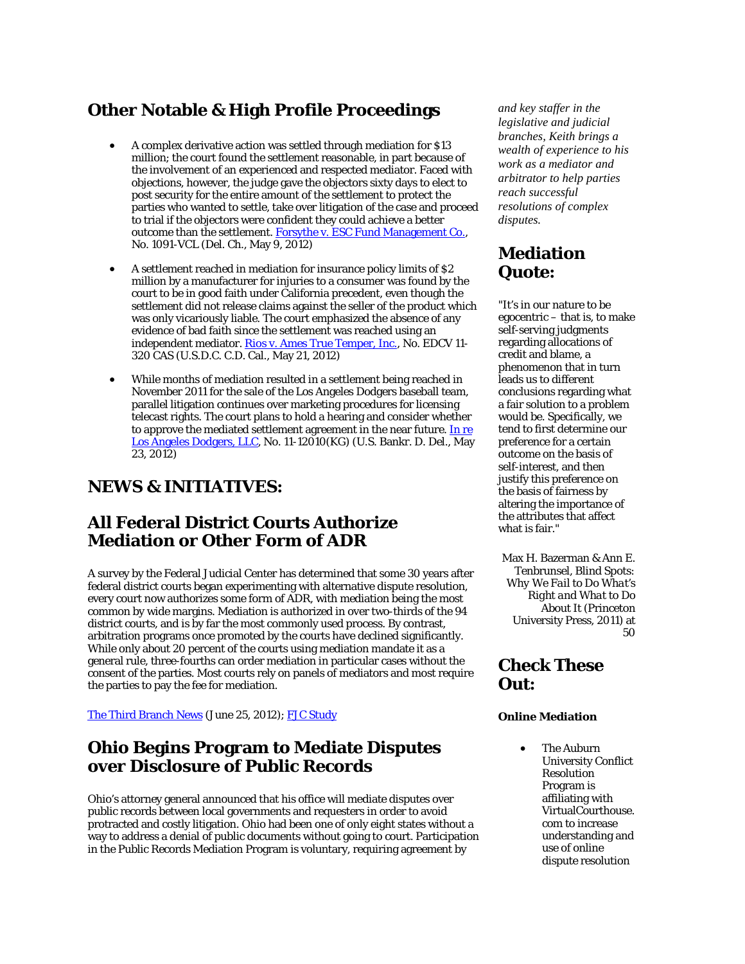# **Other Notable & High Profile Proceedings**

- A complex derivative action was settled through mediation for \$13 million; the court found the settlement reasonable, in part because of the involvement of an experienced and respected mediator. Faced with objections, however, the judge gave the objectors sixty days to elect to post security for the entire amount of the settlement to protect the parties who wanted to settle, take over litigation of the case and proceed to trial if the objectors were confident they could achieve a better outcome than the settlement. For sythe v. ESC Fund Management Co., No. 1091-VCL (Del. Ch., May 9, 2012)
- A settlement reached in mediation for insurance policy limits of \$2 million by a manufacturer for injuries to a consumer was found by the court to be in good faith under California precedent, even though the settlement did not release claims against the seller of the product which was only vicariously liable. The court emphasized the absence of any evidence of bad faith since the settlement was reached using an independent mediator. [Rios v. Ames True Temper, Inc.,](http://scholar.google.com/scholar_case?case=9246350498674281173&hl=en&lr=lang_en&as_sdt=2,9&as_vis=1&oi=scholaralrt) No. EDCV 11- 320 CAS (U.S.D.C. C.D. Cal., May 21, 2012)
- While months of mediation resulted in a settlement being reached in November 2011 for the sale of the Los Angeles Dodgers baseball team, parallel litigation continues over marketing procedures for licensing telecast rights. The court plans to hold a hearing and consider whether to approve the mediated settlement agreement in the near future. In re [Los Angeles Dodgers, LLC,](http://scholar.google.com/scholar_case?case=4968629959919254253&hl=en&lr=lang_en&as_sdt=2,9&as_vis=1&oi=scholaralrt) No. 11-12010(KG) (U.S. Bankr. D. Del., May 23, 2012)

# **NEWS & INITIATIVES:**

# **All Federal District Courts Authorize Mediation or Other Form of ADR**

A survey by the Federal Judicial Center has determined that some 30 years after federal district courts began experimenting with alternative dispute resolution, every court now authorizes some form of ADR, with mediation being the most common by wide margins. Mediation is authorized in over two-thirds of the 94 district courts, and is by far the most commonly used process. By contrast, arbitration programs once promoted by the courts have declined significantly. While only about 20 percent of the courts using mediation mandate it as a general rule, three-fourths can order mediation in particular cases without the consent of the parties. Most courts rely on panels of mediators and most require the parties to pay the fee for mediation.

[The Third Branch News](http://news.uscourts.gov/alternative-dispute-resolution-now-established-practice-federal-courts) (June 25, 2012); [FJC Study](http://www.fjc.gov/public/pdf.nsf/lookup/adr2011.pdf/$file/adr2011.pdf)

# **Ohio Begins Program to Mediate Disputes over Disclosure of Public Records**

Ohio's attorney general announced that his office will mediate disputes over public records between local governments and requesters in order to avoid protracted and costly litigation. Ohio had been one of only eight states without a way to address a denial of public documents without going to court. Participation in the Public Records Mediation Program is voluntary, requiring agreement by

*and key staffer in the legislative and judicial branches, Keith brings a wealth of experience to his work as a mediator and arbitrator to help parties reach successful resolutions of complex disputes.*

# **Mediation Quote:**

"It's in our nature to be egocentric – that is, to make self-serving judgments regarding allocations of credit and blame, a phenomenon that in turn leads us to different conclusions regarding what a fair solution to a problem would be. Specifically, we tend to first determine our preference for a certain outcome on the basis of self-interest, and then justify this preference on the basis of fairness by altering the importance of the attributes that affect what is fair."

Max H. Bazerman & Ann E. Tenbrunsel, *Blind Spots: Why We Fail to Do What's Right and What to Do About It* (Princeton University Press, 2011) at 50

# **Check These Out:**

#### **Online Mediation**

The Auburn University Conflict Resolution Program is affiliating with VirtualCourthouse. com to increase understanding and use of online dispute resolution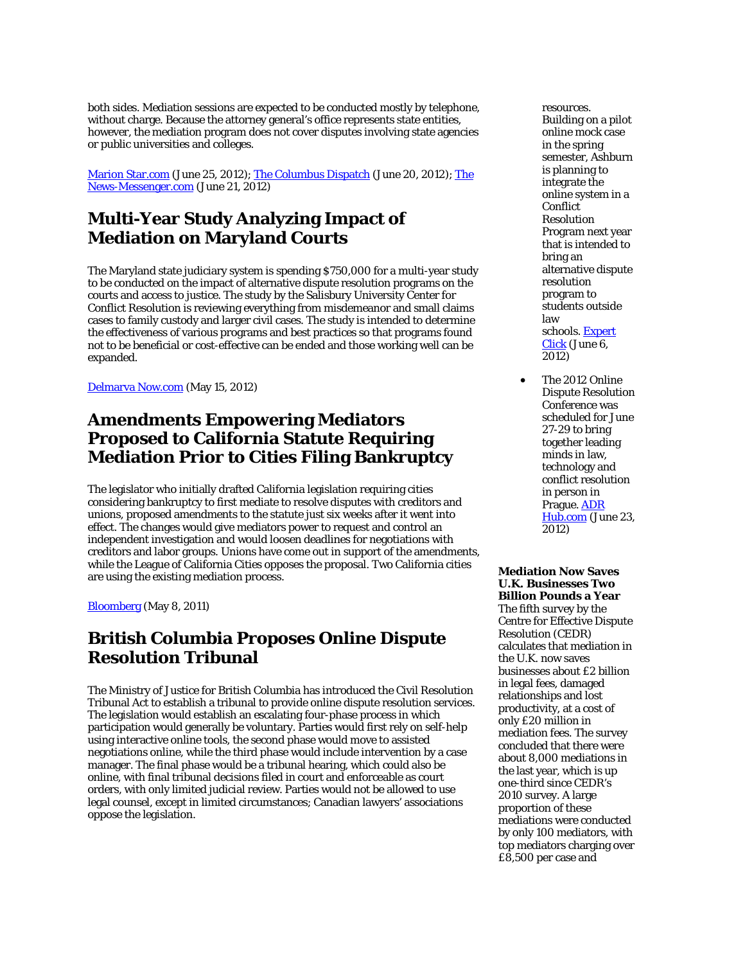both sides. Mediation sessions are expected to be conducted mostly by telephone, without charge. Because the attorney general's office represents state entities, however, the mediation program does not cover disputes involving state agencies or public universities and colleges.

[Marion Star.com](http://www.marionstar.com/article/20120625/NEWS01/206250302) (June 25, 2012)[; The Columbus Dispatch](http://www.dispatch.com/content/blogs/your-right-to-know/2012/06/agmediation.html) (June 20, 2012); The [News-Messenger.com](http://www.thenews-messenger.com/article/20120621/NEWS01/206210318/Ohio-AG-creates-mediation-program-public-records) (June 21, 2012)

### **Multi-Year Study Analyzing Impact of Mediation on Maryland Courts**

The Maryland state judiciary system is spending \$750,000 for a multi-year study to be conducted on the impact of alternative dispute resolution programs on the courts and access to justice. The study by the Salisbury University Center for Conflict Resolution is reviewing everything from misdemeanor and small claims cases to family custody and larger civil cases. The study is intended to determine the effectiveness of various programs and best practices so that programs found not to be beneficial or cost-effective can be ended and those working well can be expanded.

[Delmarva Now.com](http://www.delmarvanow.com/article/20120514/WIC01/205140301) (May 15, 2012)

### **Amendments Empowering Mediators Proposed to California Statute Requiring Mediation Prior to Cities Filing Bankruptcy**

The legislator who initially drafted California legislation requiring cities considering bankruptcy to first mediate to resolve disputes with creditors and unions, proposed amendments to the statute just six weeks after it went into effect. The changes would give mediators power to request and control an independent investigation and would loosen deadlines for negotiations with creditors and labor groups. Unions have come out in support of the amendments, while the League of California Cities opposes the proposal. Two California cities are using the existing mediation process.

[Bloomberg](http://www.bloomberg.com/news/2012-05-08/california-lawmaker-pushes-new-municipal-bankruptcy-limit.html) (May 8, 2011)

### **British Columbia Proposes Online Dispute Resolution Tribunal**

The Ministry of Justice for British Columbia has introduced the Civil Resolution Tribunal Act to establish a tribunal to provide online dispute resolution services. The legislation would establish an escalating four-phase process in which participation would generally be voluntary. Parties would first rely on self-help using interactive online tools, the second phase would move to assisted negotiations online, while the third phase would include intervention by a case manager. The final phase would be a tribunal hearing, which could also be online, with final tribunal decisions filed in court and enforceable as court orders, with only limited judicial review. Parties would not be allowed to use legal counsel, except in limited circumstances; Canadian lawyers' associations oppose the legislation.

resources. Building on a pilot online mock case in the spring semester, Ashburn is planning to integrate the online system in a Conflict Resolution Program next year that is intended to bring an alternative dispute resolution program to students outside law schools[. Expert](http://www.expertclick.com/NRWire/Auburn_University_partners_with_VirtualCourthousecom,201240681.aspx)  [Click](http://www.expertclick.com/NRWire/Auburn_University_partners_with_VirtualCourthousecom,201240681.aspx) (June 6, 2012)

The 2012 Online Dispute Resolution Conference was scheduled for June 27-29 to bring together leading minds in law, technology and conflict resolution in person in Prague. [ADR](http://www.adrhub.com/forum/topics/2012-online-dispute-resolution-conference?xg_source=activity)  [Hub.com](http://www.adrhub.com/forum/topics/2012-online-dispute-resolution-conference?xg_source=activity) (June 23, 2012)

#### **Mediation Now Saves U.K. Businesses Two Billion Pounds a Year** The fifth survey by the

Centre for Effective Dispute Resolution (CEDR) calculates that mediation in the U.K. now saves businesses about £2 billion in legal fees, damaged relationships and lost productivity, at a cost of only £20 million in mediation fees. The survey concluded that there were about 8,000 mediations in the last year, which is up one-third since CEDR's 2010 survey. A large proportion of these mediations were conducted by only 100 mediators, with top mediators charging over £8,500 per case and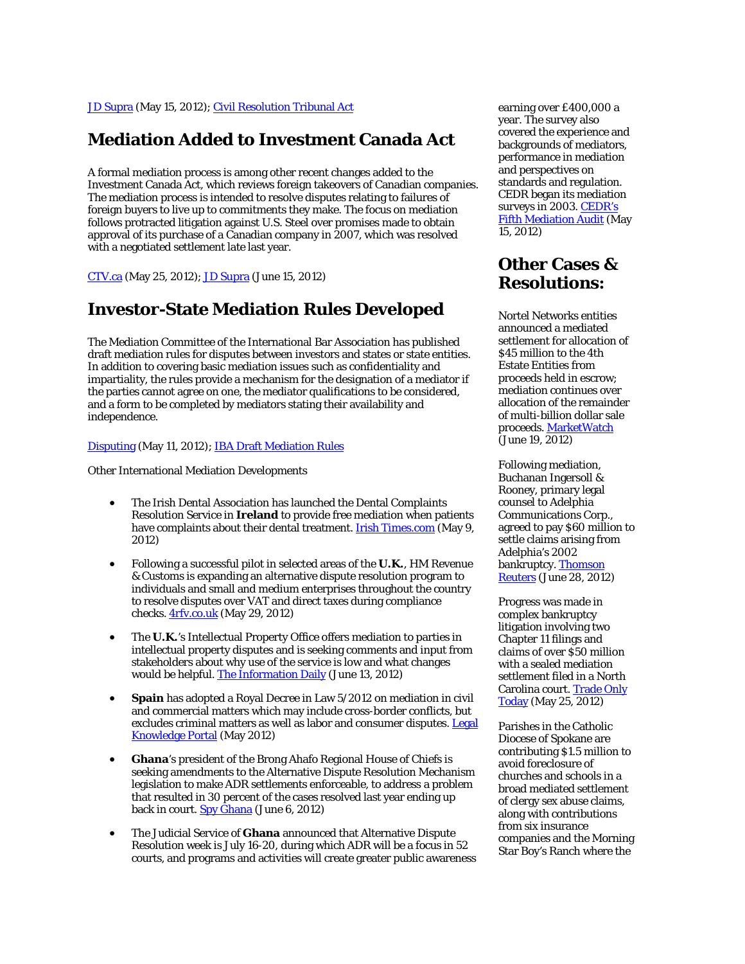[JD Supra](http://www.jdsupra.com/post/documentViewer.aspx?fid=6af48a12-a516-4eb8-93e1-5b1d060cae85) (May 15, 2012)[; Civil Resolution Tribunal Act](http://www.leg.bc.ca/39th4th/1st_read/gov44-1.htm#part8)

### **Mediation Added to Investment Canada Act**

A formal mediation process is among other recent changes added to the Investment Canada Act, which reviews foreign takeovers of Canadian companies. The mediation process is intended to resolve disputes relating to failures of foreign buyers to live up to commitments they make. The focus on mediation follows protracted litigation against U.S. Steel over promises made to obtain approval of its purchase of a Canadian company in 2007, which was resolved with a negotiated settlement late last year.

[CTV.ca](http://edmonton.ctv.ca/servlet/an/local/CTVNews/20120525/industry-minister-announces-increased-foreign-investment-review-threshold-120525/20120525/?hub=EdmontonHome) (May 25, 2012)[; JD Supra](http://www.jdsupra.com/post/documentViewer.aspx?fid=5d1f3688-5b43-4bd0-92c7-a7d32586d1fa) (June 15, 2012)

### **Investor-State Mediation Rules Developed**

The Mediation Committee of the International Bar Association has published draft mediation rules for disputes between investors and states or state entities. In addition to covering basic mediation issues such as confidentiality and impartiality, the rules provide a mechanism for the designation of a mediator if the parties cannot agree on one, the mediator qualifications to be considered, and a form to be completed by mediators stating their availability and independence.

#### [Disputing](http://www.karlbayer.com/blog/iba-mediation-committee-publishes-rules-for-investor-state-mediation/) (May 11, 2012)[; IBA Draft Mediation Rules](http://www.ibanet.org/Document/Default.aspx?DocumentUid=8120ED11-F3C8-4A66-BE81-77CB3FDB9E9F)

Other International Mediation Developments

- The Irish Dental Association has launched the Dental Complaints Resolution Service in **Ireland** to provide free mediation when patients have complaints about their dental treatment[. Irish Times.com](http://www.irishtimes.com/newspaper/breaking/2012/0509/breaking28.html) (May 9, 2012)
- Following a successful pilot in selected areas of the **U.K.**, HM Revenue & Customs is expanding an alternative dispute resolution program to individuals and small and medium enterprises throughout the country to resolve disputes over VAT and direct taxes during compliance checks. [4rfv.co.uk](http://www.4rfv.co.uk/nationalnews.asp?id=145005) (May 29, 2012)
- The **U.K.**'s Intellectual Property Office offers mediation to parties in intellectual property disputes and is seeking comments and input from stakeholders about why use of the service is low and what changes would be helpful[. The Information Daily](http://www.egovmonitor.com/node/51052) (June 13, 2012)
- **Spain** has adopted a Royal Decree in Law 5/2012 on mediation in civil and commercial matters which may include cross-border conflicts, but excludes criminal matters as well as labor and consumer disputes. Legal [Knowledge Portal](http://legalknowledgeportal.com/2012/05/04/spain-new-regulation-on-mediation-in-civil-and-commercial-matters/) (May 2012)
- **Ghana**'s president of the Brong Ahafo Regional House of Chiefs is seeking amendments to the Alternative Dispute Resolution Mechanism legislation to make ADR settlements enforceable, to address a problem that resulted in 30 percent of the cases resolved last year ending up back in court[. Spy Ghana](http://spyghana.com/ghana-general-news/chiefs-want-alternative-dispute-resolution-law-amended/) (June 6, 2012)
- The Judicial Service of **Ghana** announced that Alternative Dispute Resolution week is July 16-20, during which ADR will be a focus in 52 courts, and programs and activities will create greater public awareness

earning over £400,000 a year. The survey also covered the experience and backgrounds of mediators, performance in mediation and perspectives on standards and regulation. CEDR began its mediation surveys in 2003. CEDR's [Fifth Mediation Audit](http://www.cedr.com/docslib/TheMediatorAudit2012.pdf) (May 15, 2012)

### **Other Cases & Resolutions:**

Nortel Networks entities announced a mediated settlement for allocation of \$45 million to the 4th Estate Entities from proceeds held in escrow; mediation continues over allocation of the remainder of multi-billion dollar sale proceeds[. MarketWatch](http://www.marketwatch.com/story/nortel-announces-us45-million-allocation-settlement-agreement-with-apac-and-cala-nortel-entities-2012-06-19) (June 19, 2012)

Following mediation, Buchanan Ingersoll & Rooney, primary legal counsel to Adelphia Communications Corp., agreed to pay \$60 million to settle claims arising from Adelphia's 2002 bankruptcy[. Thomson](http://newsandinsight.thomsonreuters.com/Bankruptcy/News/2012/06_-_June/Buchanan_Ingersoll_to_pay_$60_million_to_settle_Adelphia_claims/)  **[Reuters](http://newsandinsight.thomsonreuters.com/Bankruptcy/News/2012/06_-_June/Buchanan_Ingersoll_to_pay_$60_million_to_settle_Adelphia_claims/)** (June 28, 2012)

Progress was made in complex bankruptcy litigation involving two Chapter 11 filings and claims of over \$50 million with a sealed mediation settlement filed in a North Carolina court. Trade Only [Today](http://www.tradeonlytoday.com/home/520218-settlement-reached-in-fountain-powerboats-case) (May 25, 2012)

Parishes in the Catholic Diocese of Spokane are contributing \$1.5 million to avoid foreclosure of churches and schools in a broad mediated settlement of clergy sex abuse claims, along with contributions from six insurance companies and the Morning Star Boy's Ranch where the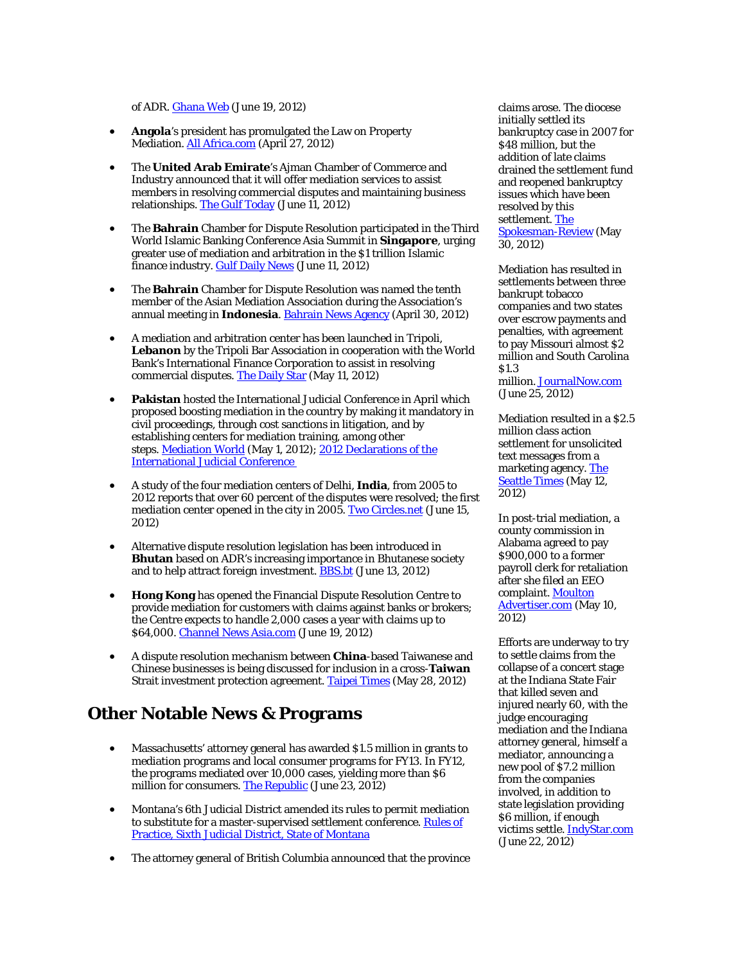of ADR[. Ghana Web](http://www.ghanaweb.com/GhanaHomePage/regional/artikel.php?ID=242377) (June 19, 2012)

- **Angola**'s president has promulgated the Law on Property Mediation[. All Africa.com](http://allafrica.com/stories/201204290107.html) (April 27, 2012)
- The **United Arab Emirate**'s Ajman Chamber of Commerce and Industry announced that it will offer mediation services to assist members in resolving commercial disputes and maintaining business relationships[. The Gulf Today](http://gulftoday.ae/portal/74b6ed49-9d34-4407-90c4-d9fbecae4ddb.aspx) (June 11, 2012)
- The **Bahrain** Chamber for Dispute Resolution participated in the Third World Islamic Banking Conference Asia Summit in **Singapore**, urging greater use of mediation and arbitration in the \$1 trillion Islamic finance industry. **Gulf Daily News** (June 11, 2012)
- The **Bahrain** Chamber for Dispute Resolution was named the tenth member of the Asian Mediation Association during the Association's annual meeting in **Indonesia**[. Bahrain News Agency](http://www.bna.bh/portal/en/news/506287) (April 30, 2012)
- A mediation and arbitration center has been launched in Tripoli, **Lebanon** by the Tripoli Bar Association in cooperation with the World Bank's International Finance Corporation to assist in resolving commercial disputes. [The Daily Star](http://www.dailystar.com.lb/News/Local-News/2012/May-11/173031-mediation-center-hopes-to-cut-commercial-conflict-time.ashx#axzz1vnLgRaMF) (May 11, 2012)
- **Pakistan** hosted the International Judicial Conference in April which proposed boosting mediation in the country by making it mandatory in civil proceedings, through cost sanctions in litigation, and by establishing centers for mediation training, among other steps. [Mediation World](http://www.mediationworld.net/pakistan/articles/full/1496.html) (May 1, 2012); 2012 Declarations of the [International Judicial Conference](http://www.mediationworld.net/download.php?path=20125121713.pdf&name=Islamabad%20ADR%20Report.pdf&mime=application/pdf)
- A study of the four mediation centers of Delhi, **India**, from 2005 to 2012 reports that over 60 percent of the disputes were resolved; the first mediation center opened in the city in 2005. [Two Circles.net](http://twocircles.net/2012jun15/mediation_settles_60_percent_delhi_court_cases.html) (June 15, 2012)
- Alternative dispute resolution legislation has been introduced in **Bhutan** based on ADR's increasing importance in Bhutanese society and to help attract foreign investment[. BBS.bt](http://www.bbs.bt/news/?p=14052) (June 13, 2012)
- **Hong Kong** has opened the Financial Dispute Resolution Centre to provide mediation for customers with claims against banks or brokers; the Centre expects to handle 2,000 cases a year with claims up to \$64,000. [Channel News Asia.com](http://www.channelnewsasia.com/stories/corporatenews/view/1208637/1/.html) (June 19, 2012)
- A dispute resolution mechanism between **China**-based Taiwanese and Chinese businesses is being discussed for inclusion in a cross-**Taiwan** Strait investment protection agreement. [Taipei Times](http://www.taipeitimes.com/News/biz/archives/2012/05/28/2003533884) (May 28, 2012)

# **Other Notable News & Programs**

- Massachusetts' attorney general has awarded \$1.5 million in grants to mediation programs and local consumer programs for FY13. In FY12, the programs mediated over 10,000 cases, yielding more than \$6 million for consumers. [The Republic](http://www.therepublic.com/view/story/e3a951bb33fd483aa52dbb4338f3caf9/MA--Consumer-Grants) (June 23, 2012)
- Montana's 6th Judicial District amended its rules to permit mediation to substitute for a master-supervised settlement conference. Rules of [Practice, Sixth Judicial District, State of Montana](http://courts.mt.gov/content/dcourt/dc_rules/rules/6th.pdf)
- The attorney general of British Columbia announced that the province

claims arose. The diocese initially settled its bankruptcy case in 2007 for \$48 million, but the addition of late claims drained the settlement fund and reopened bankruptcy issues which have been resolved by this settlement. The [Spokesman-Review](http://www.spokesman.com/stories/2012/may/30/parishes-giving-15-million-toward-settling-sex/) (May 30, 2012)

Mediation has resulted in settlements between three bankrupt tobacco companies and two states over escrow payments and penalties, with agreement to pay Missouri almost \$2 million and South Carolina \$1.3 million[. JournalNow.com](http://www2.journalnow.com/business/2012/jun/25/2/trustee-for-bankrupt-tobacco-companies-reaches-agr-ar-2383262/) (June 25, 2012)

Mediation resulted in a \$2.5 million class action settlement for unsolicited text messages from a marketing agency[. The](http://seattletimes.nwsource.com/html/sundaybuzz/2018192107_sundaybuzz13.html)  [Seattle Times](http://seattletimes.nwsource.com/html/sundaybuzz/2018192107_sundaybuzz13.html) (May 12, 2012)

In post-trial mediation, a county commission in Alabama agreed to pay \$900,000 to a former payroll clerk for retaliation after she filed an EEO complaint. Moulton [Advertiser.com](http://moultonadvertiser.com/articles/2012/05/10/news/doc4fabbc84b1bdd615067550.txt) (May 10, 2012)

Efforts are underway to try to settle claims from the collapse of a concert stage at the Indiana State Fair that killed seven and injured nearly 60, with the judge encouraging mediation and the Indiana attorney general, himself a mediator, announcing a new pool of \$7.2 million from the companies involved, in addition to state legislation providing \$6 million, if enough victims settle[. IndyStar.com](http://www.indystar.com/apps/pbcs.dll/article?AID=2012120622038) (June 22, 2012)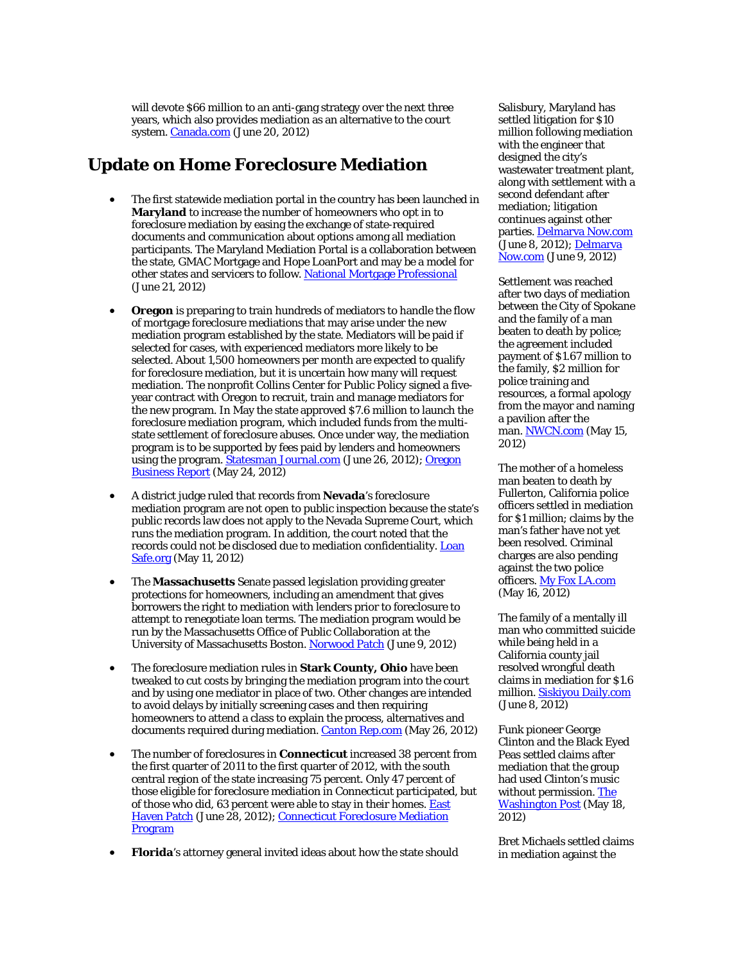will devote \$66 million to an anti-gang strategy over the next three years, which also provides mediation as an alternative to the court system. [Canada.com](http://www.canada.com/Province+puts+into+strategy+fight+gangs/6810903/story.html) (June 20, 2012)

### **Update on Home Foreclosure Mediation**

- The first statewide mediation portal in the country has been launched in **Maryland** to increase the number of homeowners who opt in to foreclosure mediation by easing the exchange of state-required documents and communication about options among all mediation participants. The Maryland Mediation Portal is a collaboration between the state, GMAC Mortgage and Hope LoanPort and may be a model for other states and servicers to follow. [National Mortgage Professional](http://nationalmortgageprofessional.com/news30108/hope-loanport-launches-maryland-mediation-portal-bring-transparency-foreclosure-process) (June 21, 2012)
- **Oregon** is preparing to train hundreds of mediators to handle the flow of mortgage foreclosure mediations that may arise under the new mediation program established by the state. Mediators will be paid if selected for cases, with experienced mediators more likely to be selected. About 1,500 homeowners per month are expected to qualify for foreclosure mediation, but it is uncertain how many will request mediation. The nonprofit Collins Center for Public Policy signed a fiveyear contract with Oregon to recruit, train and manage mediators for the new program. In May the state approved \$7.6 million to launch the foreclosure mediation program, which included funds from the multistate settlement of foreclosure abuses. Once under way, the mediation program is to be supported by fees paid by lenders and homeowners using the program[. Statesman Journal.com](http://www.statesmanjournal.com/article/20120627/NEWS/306270086/Training-set-begin-mediator-program?odyssey=tab|topnews|text|News&gcheck=1&nclick_check=1) (June 26, 2012); Oregon [Business Report](http://oregonbusinessreport.com/2012/05/oregon-panel-approves-7-6m-for-homeowner-help/) (May 24, 2012)
- A district judge ruled that records from **Nevada**'s foreclosure mediation program are not open to public inspection because the state's public records law does not apply to the Nevada Supreme Court, which runs the mediation program. In addition, the court noted that the records could not be disclosed due to mediation confidentiality[. Loan](http://www.loansafe.org/court-rules-foreclosure-mediation-records-not-public)  [Safe.org](http://www.loansafe.org/court-rules-foreclosure-mediation-records-not-public) (May 11, 2012)
- The **Massachusetts** Senate passed legislation providing greater protections for homeowners, including an amendment that gives borrowers the right to mediation with lenders prior to foreclosure to attempt to renegotiate loan terms. The mediation program would be run by the Massachusetts Office of Public Collaboration at the University of Massachusetts Boston. [Norwood Patch](http://norwood.patch.com/articles/state-senate-passes-bill-to-reduce-foreclosures) (June 9, 2012)
- The foreclosure mediation rules in **Stark County, Ohio** have been tweaked to cut costs by bringing the mediation program into the court and by using one mediator in place of two. Other changes are intended to avoid delays by initially screening cases and then requiring homeowners to attend a class to explain the process, alternatives and documents required during mediation. [Canton Rep.com](http://www.cantonrep.com/news/x624607745/Common-Pleas-Court-tweaks-foreclosure-mediations) (May 26, 2012)
- The number of foreclosures in **Connecticut** increased 38 percent from the first quarter of 2011 to the first quarter of 2012, with the south central region of the state increasing 75 percent. Only 47 percent of those eligible for foreclosure mediation in Connecticut participated, but of those who did, 63 percent were able to stay in their homes. East [Haven Patch](http://easthaven.patch.com/articles/staggering-increase-in-regional-foreclosures-termed-sobering-65c2efb7) (June 28, 2012); Connecticut Foreclosure Mediation [Program](http://theroofproject.org/)
- **Florida**'s attorney general invited ideas about how the state should

Salisbury, Maryland has settled litigation for \$10 million following mediation with the engineer that designed the city's wastewater treatment plant, along with settlement with a second defendant after mediation; litigation continues against other parties[. Delmarva Now.com](http://www.delmarvanow.com/article/20120608/WIC01/206080337/Salisbury-strikes-10M-deal-wastewater-lawsuit) (June 8, 2012)[; Delmarva](http://www.delmarvanow.com/article/20120609/WIC01/206090324)  [Now.com](http://www.delmarvanow.com/article/20120609/WIC01/206090324) (June 9, 2012)

Settlement was reached after two days of mediation between the City of Spokane and the family of a man beaten to death by police; the agreement included payment of \$1.67 million to the family, \$2 million for police training and resources, a formal apology from the mayor and naming a pavilion after the man. [NWCN.com](http://www.nwcn.com/news/washington/151635665.html) (May 15, 2012)

The mother of a homeless man beaten to death by Fullerton, California police officers settled in mediation for \$1 million; claims by the man's father have not yet been resolved. Criminal charges are also pending against the two police officers[. My Fox LA.com](http://www.myfoxla.com/dpp/news/local/kelly-thomas-mother-reaches-1-million-settlement-with-fullerton-2012-05-16) (May 16, 2012)

The family of a mentally ill man who committed suicide while being held in a California county jail resolved wrongful death claims in mediation for \$1.6 million[. Siskiyou Daily.com](http://www.siskiyoudaily.com/news/x2067829241/Siskiyou-County-to-pay-1-2-million-in-wrongful-death-suit?zc_p=0) (June 8, 2012)

Funk pioneer George Clinton and the Black Eyed Peas settled claims after mediation that the group had used Clinton's music without permission[. The](http://www.washingtonpost.com/national/george-clinton-black-eyed-peas-settle-lawsuit-over-use-of-clintons-music-in-shut-up-remix/2012/05/18/gIQASm7BZU_story.html)  [Washington Post](http://www.washingtonpost.com/national/george-clinton-black-eyed-peas-settle-lawsuit-over-use-of-clintons-music-in-shut-up-remix/2012/05/18/gIQASm7BZU_story.html) (May 18, 2012)

Bret Michaels settled claims in mediation against the